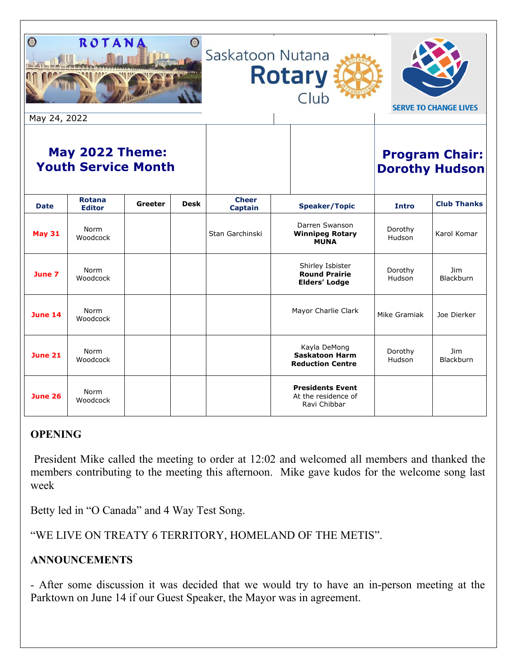| ROTAN<br>$\mathbb{C}$<br>Saskatoon Nutana<br><b>Rotary</b><br>Club<br><b>SERVE TO CHANGE LIVES</b><br>May 24, 2022 |                                |         |             |                                |                                                                  |                                                |                          |                                |
|--------------------------------------------------------------------------------------------------------------------|--------------------------------|---------|-------------|--------------------------------|------------------------------------------------------------------|------------------------------------------------|--------------------------|--------------------------------|
| <b>May 2022 Theme:</b><br><b>Youth Service Month</b>                                                               |                                |         |             |                                |                                                                  | <b>Program Chair:</b><br><b>Dorothy Hudson</b> |                          |                                |
| <b>Date</b>                                                                                                        | <b>Rotana</b><br><b>Editor</b> | Greeter | <b>Desk</b> | <b>Cheer</b><br><b>Captain</b> | <b>Speaker/Topic</b>                                             |                                                | <b>Intro</b>             | <b>Club Thanks</b>             |
| <b>May 31</b>                                                                                                      | Norm<br>Woodcock               |         |             | Stan Garchinski                | Darren Swanson<br><b>Winnipeg Rotary</b><br><b>MUNA</b>          |                                                | Dorothy<br>Hudson        | Karol Komar                    |
| June 7                                                                                                             | Norm<br>Woodcock               |         |             |                                | Shirley Isbister<br><b>Round Prairie</b><br><b>Elders' Lodge</b> |                                                | Dorothy<br>Hudson        | Jim<br><b>Blackburn</b>        |
| <b>June 14</b>                                                                                                     | Norm<br>Woodcock               |         |             |                                | Mayor Charlie Clark                                              |                                                | Mike Gramiak             | Joe Dierker                    |
| <b>June 21</b>                                                                                                     | Norm<br>Woodcock               |         |             |                                | Kayla DeMong<br><b>Saskatoon Harm</b><br><b>Reduction Centre</b> |                                                | Dorothy<br><b>Hudson</b> | <b>Jim</b><br><b>Blackburn</b> |
| <b>June 26</b>                                                                                                     | Norm<br>Woodcock               |         |             |                                | <b>Presidents Event</b><br>At the residence of<br>Ravi Chibbar   |                                                |                          |                                |

## **OPENING**

President Mike called the meeting to order at 12:02 and welcomed all members and thanked the members contributing to the meeting this afternoon. Mike gave kudos for the welcome song last week

Betty led in "O Canada" and 4 Way Test Song.

"WE LIVE ON TREATY 6 TERRITORY, HOMELAND OF THE METIS".

# **ANNOUNCEMENTS**

- After some discussion it was decided that we would try to have an in-person meeting at the Parktown on June 14 if our Guest Speaker, the Mayor was in agreement.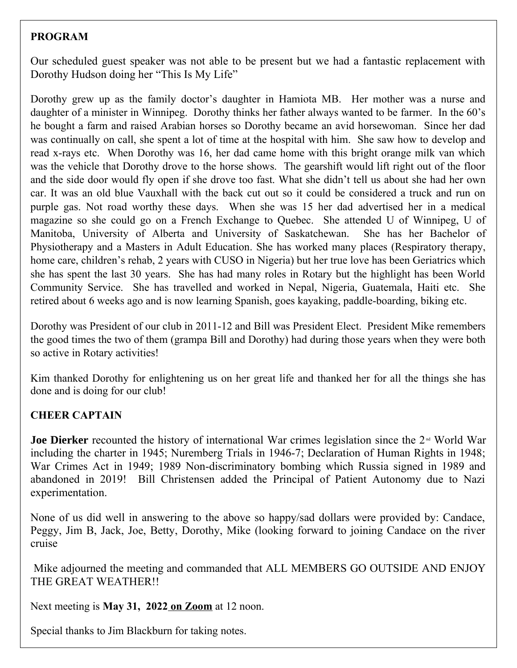## **PROGRAM**

Our scheduled guest speaker was not able to be present but we had a fantastic replacement with Dorothy Hudson doing her "This Is My Life"

Dorothy grew up as the family doctor's daughter in Hamiota MB. Her mother was a nurse and daughter of a minister in Winnipeg. Dorothy thinks her father always wanted to be farmer. In the 60's he bought a farm and raised Arabian horses so Dorothy became an avid horsewoman. Since her dad was continually on call, she spent a lot of time at the hospital with him. She saw how to develop and read x-rays etc. When Dorothy was 16, her dad came home with this bright orange milk van which was the vehicle that Dorothy drove to the horse shows. The gearshift would lift right out of the floor and the side door would fly open if she drove too fast. What she didn't tell us about she had her own car. It was an old blue Vauxhall with the back cut out so it could be considered a truck and run on purple gas. Not road worthy these days. When she was 15 her dad advertised her in a medical magazine so she could go on a French Exchange to Quebec. She attended U of Winnipeg, U of Manitoba, University of Alberta and University of Saskatchewan. She has her Bachelor of Physiotherapy and a Masters in Adult Education. She has worked many places (Respiratory therapy, home care, children's rehab, 2 years with CUSO in Nigeria) but her true love has been Geriatrics which she has spent the last 30 years. She has had many roles in Rotary but the highlight has been World Community Service. She has travelled and worked in Nepal, Nigeria, Guatemala, Haiti etc. She retired about 6 weeks ago and is now learning Spanish, goes kayaking, paddle-boarding, biking etc.

Dorothy was President of our club in 2011-12 and Bill was President Elect. President Mike remembers the good times the two of them (grampa Bill and Dorothy) had during those years when they were both so active in Rotary activities!

Kim thanked Dorothy for enlightening us on her great life and thanked her for all the things she has done and is doing for our club!

## **CHEER CAPTAIN**

**Joe Dierker** recounted the history of international War crimes legislation since the 2<sup>nd</sup> World War including the charter in 1945; Nuremberg Trials in 1946-7; Declaration of Human Rights in 1948; War Crimes Act in 1949; 1989 Non-discriminatory bombing which Russia signed in 1989 and abandoned in 2019! Bill Christensen added the Principal of Patient Autonomy due to Nazi experimentation.

None of us did well in answering to the above so happy/sad dollars were provided by: Candace, Peggy, Jim B, Jack, Joe, Betty, Dorothy, Mike (looking forward to joining Candace on the river cruise

 Mike adjourned the meeting and commanded that ALL MEMBERS GO OUTSIDE AND ENJOY THE GREAT WEATHER!!

Next meeting is **May 31, 2022 on Zoom** at 12 noon.

Special thanks to Jim Blackburn for taking notes.